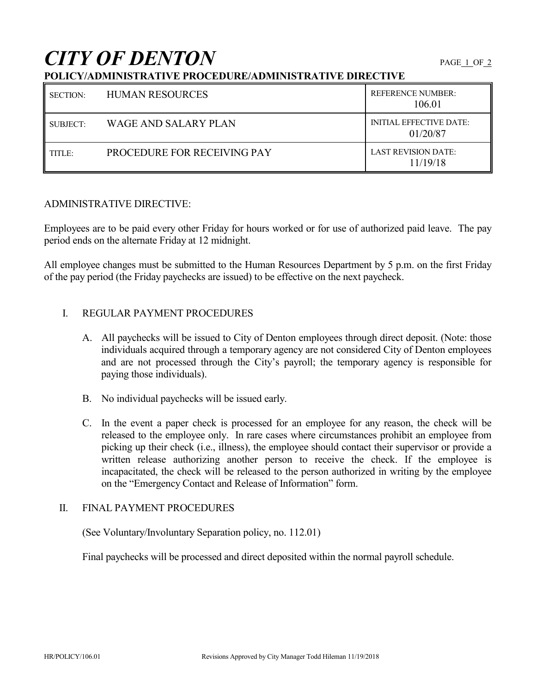# *CITY OF DENTON* PAGE 1 OF 2

## **POLICY/ADMINISTRATIVE PROCEDURE/ADMINISTRATIVE DIRECTIVE**

| <b>SECTION:</b> | <b>HUMAN RESOURCES</b>      | <b>REFERENCE NUMBER:</b><br>106.01         |
|-----------------|-----------------------------|--------------------------------------------|
| SUBJECT:        | WAGE AND SALARY PLAN        | <b>INITIAL EFFECTIVE DATE:</b><br>01/20/87 |
| TITLE:          | PROCEDURE FOR RECEIVING PAY | <b>LAST REVISION DATE:</b><br>11/19/18     |

### ADMINISTRATIVE DIRECTIVE:

Employees are to be paid every other Friday for hours worked or for use of authorized paid leave. The pay period ends on the alternate Friday at 12 midnight.

All employee changes must be submitted to the Human Resources Department by 5 p.m. on the first Friday of the pay period (the Friday paychecks are issued) to be effective on the next paycheck.

## I. REGULAR PAYMENT PROCEDURES

- A. All paychecks will be issued to City of Denton employees through direct deposit. (Note: those individuals acquired through a temporary agency are not considered City of Denton employees and are not processed through the City's payroll; the temporary agency is responsible for paying those individuals).
- B. No individual paychecks will be issued early.
- C. In the event a paper check is processed for an employee for any reason, the check will be released to the employee only. In rare cases where circumstances prohibit an employee from picking up their check (i.e., illness), the employee should contact their supervisor or provide a written release authorizing another person to receive the check. If the employee is incapacitated, the check will be released to the person authorized in writing by the employee on the "Emergency Contact and Release of Information" form.

#### II. FINAL PAYMENT PROCEDURES

(See Voluntary/Involuntary Separation policy, no. 112.01)

Final paychecks will be processed and direct deposited within the normal payroll schedule.